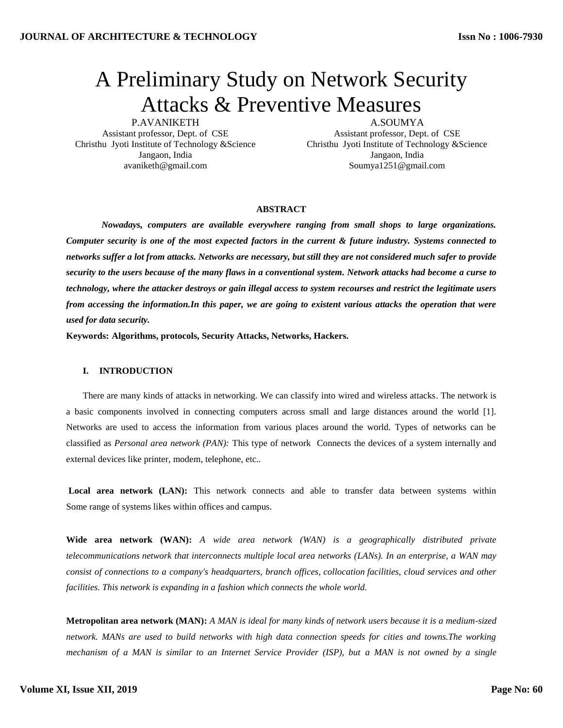# A Preliminary Study on Network Security Attacks & Preventive Measures

P.AVANIKETH

Assistant professor, Dept. of CSE Christhu Jyoti Institute of Technology &Science Jangaon, India avaniketh@gmail.com

A.SOUMYA Assistant professor, Dept. of CSE Christhu Jyoti Institute of Technology &Science Jangaon, India Soumya1251@gmail.com

## **ABSTRACT**

*Nowadays, computers are available everywhere ranging from small shops to large organizations. Computer security is one of the most expected factors in the current & future industry. Systems connected to networks suffer a lot from attacks. Networks are necessary, but still they are not considered much safer to provide security to the users because of the many flaws in a conventional system. Network attacks had become a curse to technology, where the attacker destroys or gain illegal access to system recourses and restrict the legitimate users from accessing the information.In this paper, we are going to existent various attacks the operation that were used for data security.*

**Keywords: Algorithms, protocols, Security Attacks, Networks, Hackers.**

## **I. INTRODUCTION**

There are many kinds of attacks in networking. We can classify into wired and wireless attacks. The network is a basic components involved in connecting computers across small and large distances around the world [1]. Networks are used to access the information from various places around the world. Types of networks can be classified as *Personal area network (PAN):* This type of network Connects the devices of a system internally and external devices like printer, modem, telephone, etc..

Local area network (LAN): This network connects and able to transfer data between systems within Some range of systems likes within offices and campus.

**Wide area network (WAN):** *A wide area network (WAN) is a geographically distributed private telecommunications network that interconnects multiple local area networks [\(LANs\)](https://searchnetworking.techtarget.com/definition/local-area-network-LAN). In an enterprise, a WAN may consist of connections to a company's headquarters, branch offices, collocation facilities, cloud services and other facilities. This network is expanding in a fashion which connects the whole world.*

**Metropolitan area network (MAN):** *A MAN is ideal for many kinds of network users because it is a medium-sized network. MANs are used to build networks with high data connection speeds for cities and towns.The working mechanism of a MAN is similar to an Internet Service Provider (ISP), but a MAN is not owned by a single*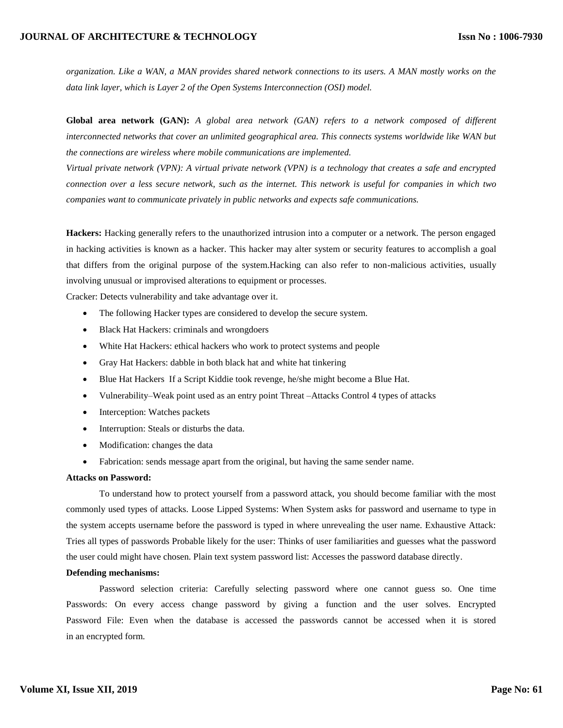# **JOURNAL OF ARCHITECTURE & TECHNOLOGY**

*organization. Like a WAN, a MAN provides shared network connections to its users. A MAN mostly works on the data link layer, which is Layer 2 of the Open Systems Interconnection (OSI) model.*

**Global area network (GAN):** *A global area network (GAN) refers to a network composed of different interconnected networks that cover an unlimited geographical area. This connects systems worldwide like WAN but the connections are wireless where mobile communications are implemented.*

*Virtual private network (VPN): A virtual private network (VPN) is a technology that creates a safe and encrypted connection over a less secure network, such as the internet. This network is useful for companies in which two companies want to communicate privately in public networks and expects safe communications.*

**Hackers:** Hacking generally refers to the unauthorized intrusion into a computer or a network. The person engaged in hacking activities is known as a hacker. This hacker may alter system or security features to accomplish a goal that differs from the original purpose of the system.Hacking can also refer to non-malicious activities, usually involving unusual or improvised alterations to equipment or processes.

Cracker: Detects vulnerability and take advantage over it.

- The following Hacker types are considered to develop the secure system.
- Black Hat Hackers: criminals and wrongdoers
- White Hat Hackers: ethical hackers who work to protect systems and people
- Gray Hat Hackers: dabble in both black hat and white hat tinkering
- Blue Hat Hackers If a Script Kiddie took revenge, he/she might become a Blue Hat.
- Vulnerability–Weak point used as an entry point Threat –Attacks Control 4 types of attacks
- Interception: Watches packets
- Interruption: Steals or disturbs the data.
- Modification: changes the data
- Fabrication: sends message apart from the original, but having the same sender name.

# **Attacks on Password:**

To understand how to protect yourself from a password attack, you should become familiar with the most commonly used types of attacks. Loose Lipped Systems: When System asks for password and username to type in the system accepts username before the password is typed in where unrevealing the user name. Exhaustive Attack: Tries all types of passwords Probable likely for the user: Thinks of user familiarities and guesses what the password the user could might have chosen. Plain text system password list: Accesses the password database directly.

# **Defending mechanisms:**

Password selection criteria: Carefully selecting password where one cannot guess so. One time Passwords: On every access change password by giving a function and the user solves. Encrypted Password File: Even when the database is accessed the passwords cannot be accessed when it is stored in an encrypted form.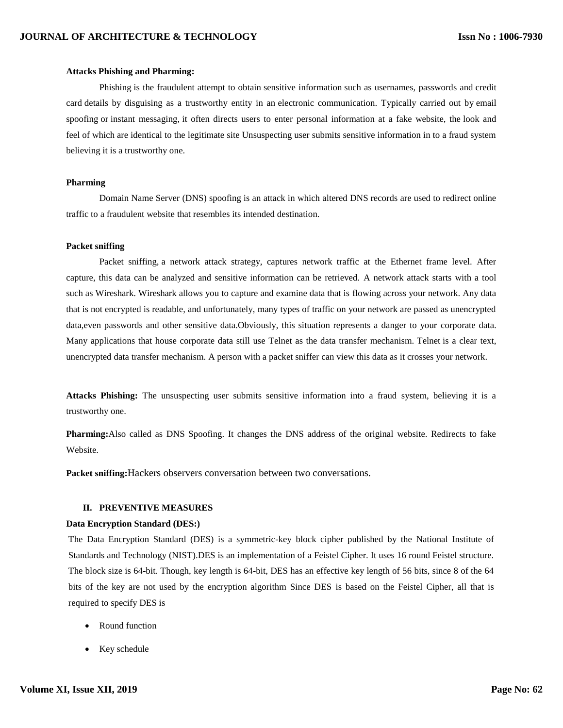## **Attacks Phishing and Pharming:**

Phishing is the fraudulent attempt to obtain [sensitive information](https://en.wikipedia.org/wiki/Information_sensitivity) such as usernames, passwords and [credit](https://en.wikipedia.org/wiki/Credit_card)  [card](https://en.wikipedia.org/wiki/Credit_card) details by disguising as a trustworthy entity in an [electronic communication.](https://en.wikipedia.org/wiki/Electronic_communication) Typically carried out by [email](https://en.wikipedia.org/wiki/Email_spoofing)  [spoofing](https://en.wikipedia.org/wiki/Email_spoofing) or [instant messaging,](https://en.wikipedia.org/wiki/Instant_messaging) it often directs users to enter personal information at a fake website, the [look and](https://en.wikipedia.org/wiki/Look_and_feel)  [feel](https://en.wikipedia.org/wiki/Look_and_feel) of which are identical to the legitimate site Unsuspecting user submits sensitive information in to a fraud system believing it is a trustworthy one.

## **Pharming**

Domain Name Server (DNS) spoofing is an attack in which altered DNS records are used to redirect online traffic to a fraudulent website that resembles its intended destination.

## **Packet sniffing**

Packet sniffing, a network attack strategy, captures network traffic at the Ethernet frame level. After capture, this data can be analyzed and sensitive information can be retrieved. A network attack starts with a tool such as Wireshark. Wireshark allows you to capture and examine data that is flowing across your network. Any data that is not encrypted is readable, and unfortunately, many types of traffic on your network are passed as unencrypted data,even passwords and other sensitive data.Obviously, this situation represents a danger to your corporate data. Many applications that house corporate data still use Telnet as the data transfer mechanism. Telnet is a clear text, unencrypted data transfer mechanism. A person with a packet sniffer can view this data as it crosses your network.

**Attacks Phishing:** The unsuspecting user submits sensitive information into a fraud system, believing it is a trustworthy one.

**Pharming:**Also called as DNS Spoofing. It changes the DNS address of the original website. Redirects to fake Website.

**Packet sniffing:**Hackers observers conversation between two conversations.

# **II. PREVENTIVE MEASURES**

## **Data Encryption Standard (DES:)**

The Data Encryption Standard (DES) is a symmetric-key block cipher published by the National Institute of Standards and Technology (NIST).DES is an implementation of a Feistel Cipher. It uses 16 round Feistel structure. The block size is 64-bit. Though, key length is 64-bit, DES has an effective key length of 56 bits, since 8 of the 64 bits of the key are not used by the encryption algorithm Since DES is based on the Feistel Cipher, all that is required to specify DES is

- Round function
- Key schedule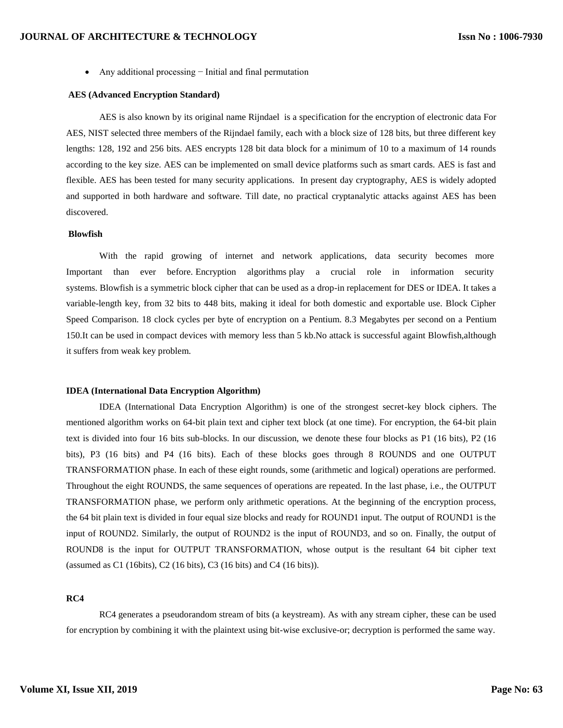Any additional processing − Initial and final permutation

#### **AES (Advanced Encryption Standard)**

AES is also known by its original name Rijndael is a specification for the [encryption](https://en.wikipedia.org/wiki/Encryption) of electronic data For AES, NIST selected three members of the Rijndael family, each with a block size of 128 bits, but three different key lengths: 128, 192 and 256 bits. AES encrypts 128 bit data block for a minimum of 10 to a maximum of 14 rounds according to the key size. AES can be implemented on small device platforms such as smart cards. AES is fast and flexible. AES has been tested for many security applications. In present day cryptography, AES is widely adopted and supported in both hardware and software. Till date, no practical cryptanalytic attacks against AES has been discovered.

# **Blowfish**

With the rapid growing of internet and network applications, data security becomes more Important than ever before. Encryption algorithms play a crucial role in information security systems. Blowfish is a symmetric block cipher that can be used as a drop-in replacement for DES or IDEA. It takes a variable-length key, from 32 bits to 448 bits, making it ideal for both domestic and exportable use. Block Cipher Speed Comparison. 18 clock cycles per byte of encryption on a Pentium. 8.3 Megabytes per second on a Pentium 150.It can be used in compact devices with memory less than 5 kb.No attack is successful againt Blowfish,although it suffers from weak key problem.

## **IDEA (International Data Encryption Algorithm)**

IDEA (International Data Encryption Algorithm) is one of the strongest secret-key block ciphers. The mentioned algorithm works on 64-bit plain text and cipher text block (at one time). For encryption, the 64-bit plain text is divided into four 16 bits sub-blocks. In our discussion, we denote these four blocks as P1 (16 bits), P2 (16 bits), P3 (16 bits) and P4 (16 bits). Each of these blocks goes through 8 ROUNDS and one OUTPUT TRANSFORMATION phase. In each of these eight rounds, some (arithmetic and logical) operations are performed. Throughout the eight ROUNDS, the same sequences of operations are repeated. In the last phase, i.e., the OUTPUT TRANSFORMATION phase, we perform only arithmetic operations. At the beginning of the encryption process, the 64 bit plain text is divided in four equal size blocks and ready for ROUND1 input. The output of ROUND1 is the input of ROUND2. Similarly, the output of ROUND2 is the input of ROUND3, and so on. Finally, the output of ROUND8 is the input for OUTPUT TRANSFORMATION, whose output is the resultant 64 bit cipher text (assumed as C1 (16bits), C2 (16 bits), C3 (16 bits) and C4 (16 bits)).

# **RC4**

RC4 generates a pseudorandom stream of bits (a keystream). As with any stream cipher, these can be used for encryption by combining it with the plaintext using bit-wise exclusive-or; decryption is performed the same way.